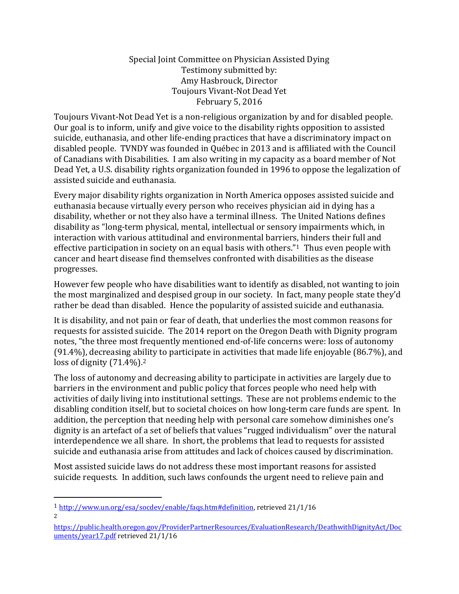#### Special Joint Committee on Physician Assisted Dying Testimony submitted by: Amy Hasbrouck, Director Toujours Vivant-Not Dead Yet February 5, 2016

Toujours Vivant-Not Dead Yet is a non-religious organization by and for disabled people. Our goal is to inform, unify and give voice to the disability rights opposition to assisted suicide, euthanasia, and other life-ending practices that have a discriminatory impact on disabled people. TVNDY was founded in Québec in 2013 and is affiliated with the Council of Canadians with Disabilities. I am also writing in my capacity as a board member of Not Dead Yet, a U.S. disability rights organization founded in 1996 to oppose the legalization of assisted suicide and euthanasia.

Every major disability rights organization in North America opposes assisted suicide and euthanasia because virtually every person who receives physician aid in dying has a disability, whether or not they also have a terminal illness. The United Nations defines disability as "long-term physical, mental, intellectual or sensory impairments which, in interaction with various attitudinal and environmental barriers, hinders their full and effective participation in society on an equal basis with others."<sup>1</sup> Thus even people with cancer and heart disease find themselves confronted with disabilities as the disease progresses.

However few people who have disabilities want to identify as disabled, not wanting to join the most marginalized and despised group in our society. In fact, many people state they'd rather be dead than disabled. Hence the popularity of assisted suicide and euthanasia.

It is disability, and not pain or fear of death, that underlies the most common reasons for requests for assisted suicide. The 2014 report on the Oregon Death with Dignity program notes, "the three most frequently mentioned end-of-life concerns were: loss of autonomy (91.4%), decreasing ability to participate in activities that made life enjoyable (86.7%), and loss of dignity  $(71.4\%)$ .<sup>2</sup>

The loss of autonomy and decreasing ability to participate in activities are largely due to barriers in the environment and public policy that forces people who need help with activities of daily living into institutional settings. These are not problems endemic to the disabling condition itself, but to societal choices on how long-term care funds are spent. In addition, the perception that needing help with personal care somehow diminishes one's dignity is an artefact of a set of beliefs that values "rugged individualism" over the natural interdependence we all share. In short, the problems that lead to requests for assisted suicide and euthanasia arise from attitudes and lack of choices caused by discrimination.

Most assisted suicide laws do not address these most important reasons for assisted suicide requests. In addition, such laws confounds the urgent need to relieve pain and

 $\overline{a}$ 

<sup>1</sup> [http://www.un.org/esa/socdev/enable/faqs.htm#definition,](http://www.un.org/esa/socdev/enable/faqs.htm#definition) retrieved 21/1/16  $\mathcal{L}$ 

[https://public.health.oregon.gov/ProviderPartnerResources/EvaluationResearch/DeathwithDignityAct/Doc](https://public.health.oregon.gov/ProviderPartnerResources/EvaluationResearch/DeathwithDignityAct/Documents/year17.pdf) [uments/year17.pdf](https://public.health.oregon.gov/ProviderPartnerResources/EvaluationResearch/DeathwithDignityAct/Documents/year17.pdf) retrieved 21/1/16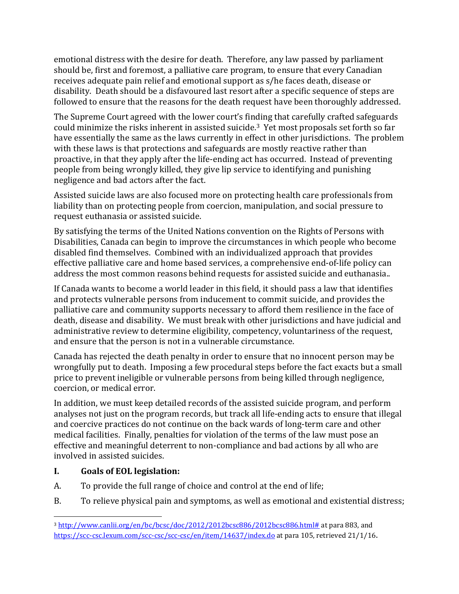emotional distress with the desire for death. Therefore, any law passed by parliament should be, first and foremost, a palliative care program, to ensure that every Canadian receives adequate pain relief and emotional support as s/he faces death, disease or disability. Death should be a disfavoured last resort after a specific sequence of steps are followed to ensure that the reasons for the death request have been thoroughly addressed.

The Supreme Court agreed with the lower court's finding that carefully crafted safeguards could minimize the risks inherent in assisted suicide. <sup>3</sup> Yet most proposals set forth so far have essentially the same as the laws currently in effect in other jurisdictions. The problem with these laws is that protections and safeguards are mostly reactive rather than proactive, in that they apply after the life-ending act has occurred. Instead of preventing people from being wrongly killed, they give lip service to identifying and punishing negligence and bad actors after the fact.

Assisted suicide laws are also focused more on protecting health care professionals from liability than on protecting people from coercion, manipulation, and social pressure to request euthanasia or assisted suicide.

By satisfying the terms of the United Nations convention on the Rights of Persons with Disabilities, Canada can begin to improve the circumstances in which people who become disabled find themselves. Combined with an individualized approach that provides effective palliative care and home based services, a comprehensive end-of-life policy can address the most common reasons behind requests for assisted suicide and euthanasia..

If Canada wants to become a world leader in this field, it should pass a law that identifies and protects vulnerable persons from inducement to commit suicide, and provides the palliative care and community supports necessary to afford them resilience in the face of death, disease and disability. We must break with other jurisdictions and have judicial and administrative review to determine eligibility, competency, voluntariness of the request, and ensure that the person is not in a vulnerable circumstance.

Canada has rejected the death penalty in order to ensure that no innocent person may be wrongfully put to death. Imposing a few procedural steps before the fact exacts but a small price to prevent ineligible or vulnerable persons from being killed through negligence, coercion, or medical error.

In addition, we must keep detailed records of the assisted suicide program, and perform analyses not just on the program records, but track all life-ending acts to ensure that illegal and coercive practices do not continue on the back wards of long-term care and other medical facilities. Finally, penalties for violation of the terms of the law must pose an effective and meaningful deterrent to non-compliance and bad actions by all who are involved in assisted suicides.

### **I. Goals of EOL legislation:**

- A. To provide the full range of choice and control at the end of life;
- B. To relieve physical pain and symptoms, as well as emotional and existential distress;

 $\overline{a}$ <sup>3</sup> [http://www.canlii.org/en/bc/bcsc/doc/2012/2012bcsc886/2012bcsc886.html#](http://www.canlii.org/en/bc/bcsc/doc/2012/2012bcsc886/2012bcsc886.html) at para 883, and <https://scc-csc.lexum.com/scc-csc/scc-csc/en/item/14637/index.do> at para 105, retrieved 21/1/16.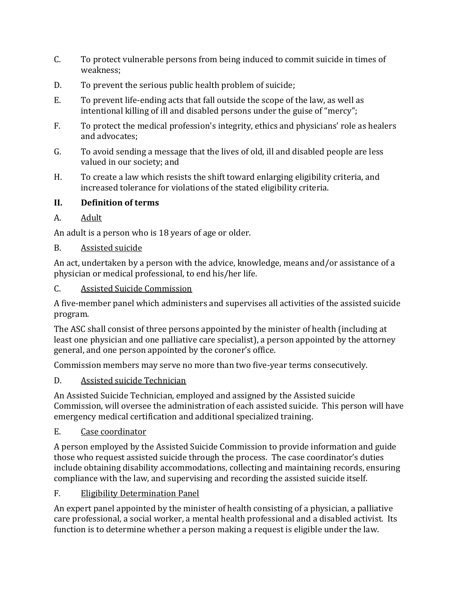- C. To protect vulnerable persons from being induced to commit suicide in times of weakness;
- D. To prevent the serious public health problem of suicide;
- E. To prevent life-ending acts that fall outside the scope of the law, as well as intentional killing of ill and disabled persons under the guise of "mercy";
- F. To protect the medical profession's integrity, ethics and physicians' role as healers and advocates;
- G. To avoid sending a message that the lives of old, ill and disabled people are less valued in our society; and
- H. To create a law which resists the shift toward enlarging eligibility criteria, and increased tolerance for violations of the stated eligibility criteria.

### **II. Definition of terms**

A. Adult

An adult is a person who is 18 years of age or older.

B. Assisted suicide

An act, undertaken by a person with the advice, knowledge, means and/or assistance of a physician or medical professional, to end his/her life.

### C. Assisted Suicide Commission

A five-member panel which administers and supervises all activities of the assisted suicide program.

The ASC shall consist of three persons appointed by the minister of health (including at least one physician and one palliative care specialist), a person appointed by the attorney general, and one person appointed by the coroner's office.

Commission members may serve no more than two five-year terms consecutively.

## D. Assisted suicide Technician

An Assisted Suicide Technician, employed and assigned by the Assisted suicide Commission, will oversee the administration of each assisted suicide. This person will have emergency medical certification and additional specialized training.

## E. Case coordinator

A person employed by the Assisted Suicide Commission to provide information and guide those who request assisted suicide through the process. The case coordinator's duties include obtaining disability accommodations, collecting and maintaining records, ensuring compliance with the law, and supervising and recording the assisted suicide itself.

F. Eligibility Determination Panel

An expert panel appointed by the minister of health consisting of a physician, a palliative care professional, a social worker, a mental health professional and a disabled activist. Its function is to determine whether a person making a request is eligible under the law.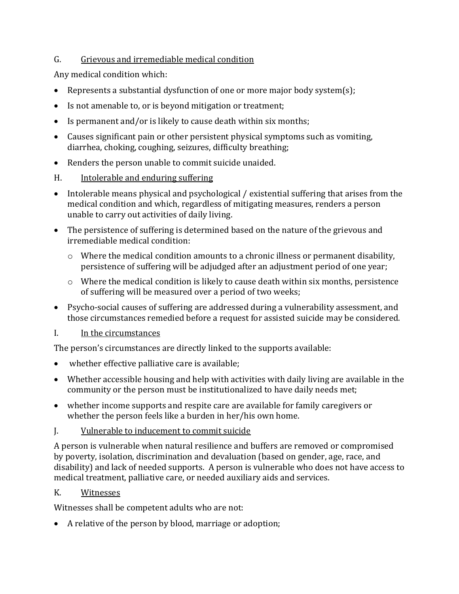### G. Grievous and irremediable medical condition

Any medical condition which:

- Represents a substantial dysfunction of one or more major body system(s);
- Is not amenable to, or is beyond mitigation or treatment;
- Is permanent and/or is likely to cause death within six months;
- Causes significant pain or other persistent physical symptoms such as vomiting, diarrhea, choking, coughing, seizures, difficulty breathing;
- Renders the person unable to commit suicide unaided.
- H. Intolerable and enduring suffering
- Intolerable means physical and psychological / existential suffering that arises from the medical condition and which, regardless of mitigating measures, renders a person unable to carry out activities of daily living.
- The persistence of suffering is determined based on the nature of the grievous and irremediable medical condition:
	- o Where the medical condition amounts to a chronic illness or permanent disability, persistence of suffering will be adjudged after an adjustment period of one year;
	- o Where the medical condition is likely to cause death within six months, persistence of suffering will be measured over a period of two weeks;
- Psycho-social causes of suffering are addressed during a vulnerability assessment, and those circumstances remedied before a request for assisted suicide may be considered.
- I. In the circumstances

The person's circumstances are directly linked to the supports available:

- whether effective palliative care is available;
- Whether accessible housing and help with activities with daily living are available in the community or the person must be institutionalized to have daily needs met;
- whether income supports and respite care are available for family caregivers or whether the person feels like a burden in her/his own home.
- J. Vulnerable to inducement to commit suicide

A person is vulnerable when natural resilience and buffers are removed or compromised by poverty, isolation, discrimination and devaluation (based on gender, age, race, and disability) and lack of needed supports. A person is vulnerable who does not have access to medical treatment, palliative care, or needed auxiliary aids and services.

## K. Witnesses

Witnesses shall be competent adults who are not:

A relative of the person by blood, marriage or adoption;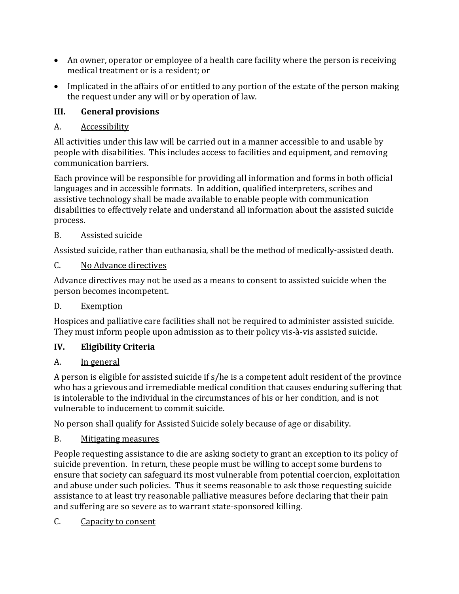- An owner, operator or employee of a health care facility where the person is receiving medical treatment or is a resident; or
- Implicated in the affairs of or entitled to any portion of the estate of the person making the request under any will or by operation of law.

# **III. General provisions**

# A. Accessibility

All activities under this law will be carried out in a manner accessible to and usable by people with disabilities. This includes access to facilities and equipment, and removing communication barriers.

Each province will be responsible for providing all information and forms in both official languages and in accessible formats. In addition, qualified interpreters, scribes and assistive technology shall be made available to enable people with communication disabilities to effectively relate and understand all information about the assisted suicide process.

## B. Assisted suicide

Assisted suicide, rather than euthanasia, shall be the method of medically-assisted death.

# C. No Advance directives

Advance directives may not be used as a means to consent to assisted suicide when the person becomes incompetent.

# D. Exemption

Hospices and palliative care facilities shall not be required to administer assisted suicide. They must inform people upon admission as to their policy vis-à-vis assisted suicide.

# **IV. Eligibility Criteria**

# A. In general

A person is eligible for assisted suicide if s/he is a competent adult resident of the province who has a grievous and irremediable medical condition that causes enduring suffering that is intolerable to the individual in the circumstances of his or her condition, and is not vulnerable to inducement to commit suicide.

No person shall qualify for Assisted Suicide solely because of age or disability.

## B. Mitigating measures

People requesting assistance to die are asking society to grant an exception to its policy of suicide prevention. In return, these people must be willing to accept some burdens to ensure that society can safeguard its most vulnerable from potential coercion, exploitation and abuse under such policies. Thus it seems reasonable to ask those requesting suicide assistance to at least try reasonable palliative measures before declaring that their pain and suffering are so severe as to warrant state-sponsored killing.

C. Capacity to consent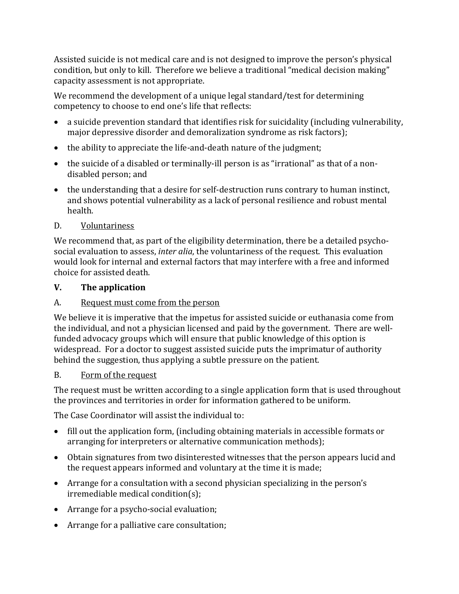Assisted suicide is not medical care and is not designed to improve the person's physical condition, but only to kill. Therefore we believe a traditional "medical decision making" capacity assessment is not appropriate.

We recommend the development of a unique legal standard/test for determining competency to choose to end one's life that reflects:

- a suicide prevention standard that identifies risk for suicidality (including vulnerability, major depressive disorder and demoralization syndrome as risk factors);
- the ability to appreciate the life-and-death nature of the judgment;
- the suicide of a disabled or terminally-ill person is as "irrational" as that of a nondisabled person; and
- the understanding that a desire for self-destruction runs contrary to human instinct, and shows potential vulnerability as a lack of personal resilience and robust mental health.

### D. Voluntariness

We recommend that, as part of the eligibility determination, there be a detailed psychosocial evaluation to assess, *inter alia*, the voluntariness of the request. This evaluation would look for internal and external factors that may interfere with a free and informed choice for assisted death.

## **V. The application**

### A. Request must come from the person

We believe it is imperative that the impetus for assisted suicide or euthanasia come from the individual, and not a physician licensed and paid by the government. There are wellfunded advocacy groups which will ensure that public knowledge of this option is widespread. For a doctor to suggest assisted suicide puts the imprimatur of authority behind the suggestion, thus applying a subtle pressure on the patient.

### B. Form of the request

The request must be written according to a single application form that is used throughout the provinces and territories in order for information gathered to be uniform.

The Case Coordinator will assist the individual to:

- fill out the application form, (including obtaining materials in accessible formats or arranging for interpreters or alternative communication methods);
- Obtain signatures from two disinterested witnesses that the person appears lucid and the request appears informed and voluntary at the time it is made;
- Arrange for a consultation with a second physician specializing in the person's irremediable medical condition(s);
- Arrange for a psycho-social evaluation;
- Arrange for a palliative care consultation;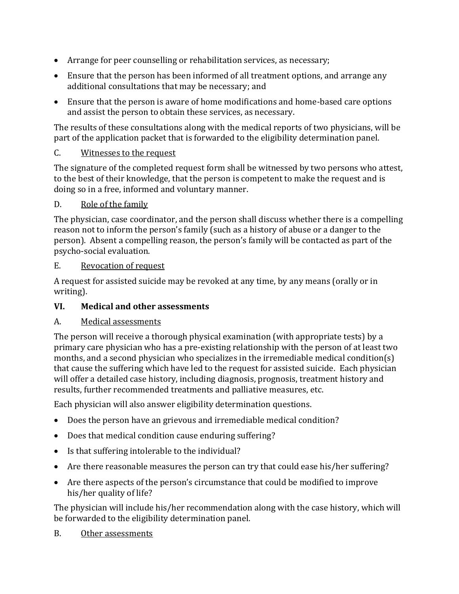- Arrange for peer counselling or rehabilitation services, as necessary;
- Ensure that the person has been informed of all treatment options, and arrange any additional consultations that may be necessary; and
- Ensure that the person is aware of home modifications and home-based care options and assist the person to obtain these services, as necessary.

The results of these consultations along with the medical reports of two physicians, will be part of the application packet that is forwarded to the eligibility determination panel.

### C. Witnesses to the request

The signature of the completed request form shall be witnessed by two persons who attest, to the best of their knowledge, that the person is competent to make the request and is doing so in a free, informed and voluntary manner.

#### D. Role of the family

The physician, case coordinator, and the person shall discuss whether there is a compelling reason not to inform the person's family (such as a history of abuse or a danger to the person). Absent a compelling reason, the person's family will be contacted as part of the psycho-social evaluation.

#### E. Revocation of request

A request for assisted suicide may be revoked at any time, by any means (orally or in writing).

### **VI. Medical and other assessments**

### A. Medical assessments

The person will receive a thorough physical examination (with appropriate tests) by a primary care physician who has a pre-existing relationship with the person of at least two months, and a second physician who specializes in the irremediable medical condition(s) that cause the suffering which have led to the request for assisted suicide. Each physician will offer a detailed case history, including diagnosis, prognosis, treatment history and results, further recommended treatments and palliative measures, etc.

Each physician will also answer eligibility determination questions.

- Does the person have an grievous and irremediable medical condition?
- Does that medical condition cause enduring suffering?
- Is that suffering intolerable to the individual?
- Are there reasonable measures the person can try that could ease his/her suffering?
- Are there aspects of the person's circumstance that could be modified to improve his/her quality of life?

The physician will include his/her recommendation along with the case history, which will be forwarded to the eligibility determination panel.

B. Other assessments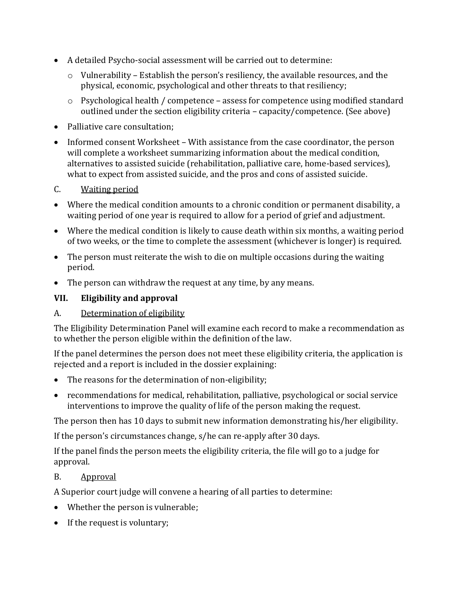- A detailed Psycho-social assessment will be carried out to determine:
	- o Vulnerability Establish the person's resiliency, the available resources, and the physical, economic, psychological and other threats to that resiliency;
	- o Psychological health / competence assess for competence using modified standard outlined under the section eligibility criteria – capacity/competence. (See above)
- Palliative care consultation;
- Informed consent Worksheet With assistance from the case coordinator, the person will complete a worksheet summarizing information about the medical condition, alternatives to assisted suicide (rehabilitation, palliative care, home-based services), what to expect from assisted suicide, and the pros and cons of assisted suicide.

### C. Waiting period

- Where the medical condition amounts to a chronic condition or permanent disability, a waiting period of one year is required to allow for a period of grief and adjustment.
- Where the medical condition is likely to cause death within six months, a waiting period of two weeks, or the time to complete the assessment (whichever is longer) is required.
- The person must reiterate the wish to die on multiple occasions during the waiting period.
- The person can withdraw the request at any time, by any means.

## **VII. Eligibility and approval**

## A. Determination of eligibility

The Eligibility Determination Panel will examine each record to make a recommendation as to whether the person eligible within the definition of the law.

If the panel determines the person does not meet these eligibility criteria, the application is rejected and a report is included in the dossier explaining:

- The reasons for the determination of non-eligibility;
- recommendations for medical, rehabilitation, palliative, psychological or social service interventions to improve the quality of life of the person making the request.

The person then has 10 days to submit new information demonstrating his/her eligibility.

If the person's circumstances change, s/he can re-apply after 30 days.

If the panel finds the person meets the eligibility criteria, the file will go to a judge for approval.

## B. Approval

A Superior court judge will convene a hearing of all parties to determine:

- Whether the person is vulnerable;
- If the request is voluntary;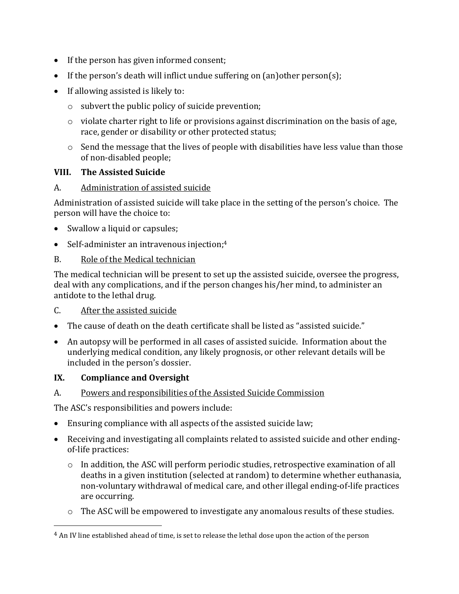- If the person has given informed consent;
- If the person's death will inflict undue suffering on  $(an)$  other person(s);
- If allowing assisted is likely to:
	- o subvert the public policy of suicide prevention;
	- $\circ$  violate charter right to life or provisions against discrimination on the basis of age, race, gender or disability or other protected status;
	- $\circ$  Send the message that the lives of people with disabilities have less value than those of non-disabled people;

### **VIII. The Assisted Suicide**

#### A. Administration of assisted suicide

Administration of assisted suicide will take place in the setting of the person's choice. The person will have the choice to:

- Swallow a liquid or capsules;
- Self-administer an intravenous injection;<sup>4</sup>

#### B. Role of the Medical technician

The medical technician will be present to set up the assisted suicide, oversee the progress, deal with any complications, and if the person changes his/her mind, to administer an antidote to the lethal drug.

- C. After the assisted suicide
- The cause of death on the death certificate shall be listed as "assisted suicide."
- An autopsy will be performed in all cases of assisted suicide. Information about the underlying medical condition, any likely prognosis, or other relevant details will be included in the person's dossier.

### **IX. Compliance and Oversight**

l

#### A. Powers and responsibilities of the Assisted Suicide Commission

The ASC's responsibilities and powers include:

- Ensuring compliance with all aspects of the assisted suicide law;
- Receiving and investigating all complaints related to assisted suicide and other endingof-life practices:
	- $\circ$  In addition, the ASC will perform periodic studies, retrospective examination of all deaths in a given institution (selected at random) to determine whether euthanasia, non-voluntary withdrawal of medical care, and other illegal ending-of-life practices are occurring.
	- o The ASC will be empowered to investigate any anomalous results of these studies.

<sup>4</sup> An IV line established ahead of time, is set to release the lethal dose upon the action of the person